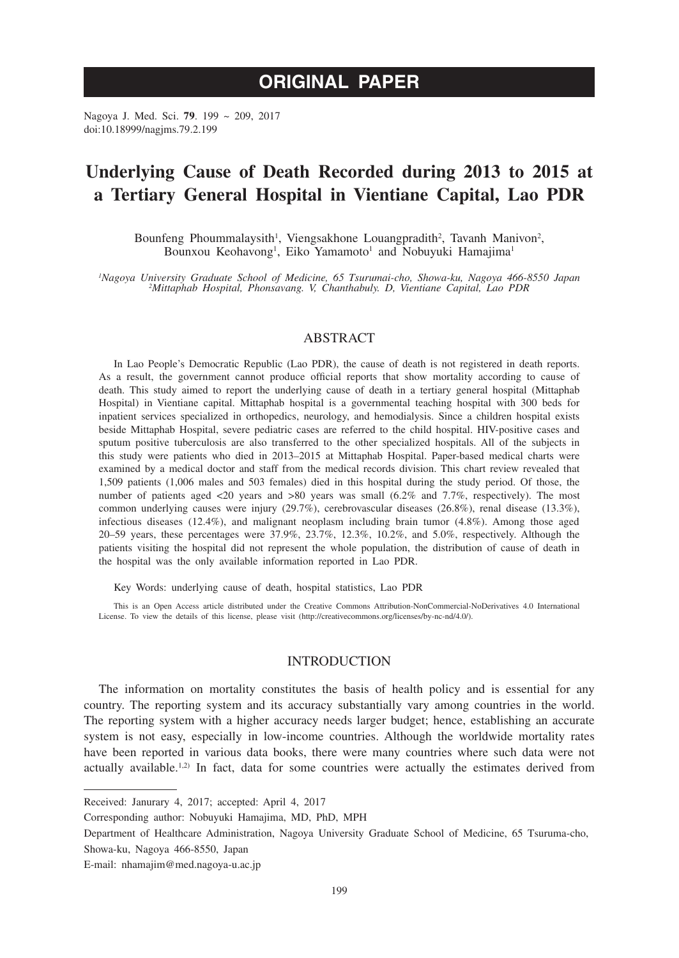# **ORIGINAL PAPER**

Nagoya J. Med. Sci. **79**. 199 ~ 209, 2017 doi:10.18999/nagjms.79.2.199

# **Underlying Cause of Death Recorded during 2013 to 2015 at a Tertiary General Hospital in Vientiane Capital, Lao PDR**

Bounfeng Phoummalaysith<sup>1</sup>, Viengsakhone Louangpradith<sup>2</sup>, Tavanh Manivon<sup>2</sup>, Bounxou Keohavong<sup>1</sup>, Eiko Yamamoto<sup>1</sup> and Nobuyuki Hamajima<sup>1</sup>

*1 Nagoya University Graduate School of Medicine, 65 Tsurumai-cho, Showa-ku, Nagoya 466-8550 Japan <sup>2</sup> Mittaphab Hospital, Phonsavang. V, Chanthabuly. D, Vientiane Capital, Lao PDR*

# ABSTRACT

In Lao People's Democratic Republic (Lao PDR), the cause of death is not registered in death reports. As a result, the government cannot produce official reports that show mortality according to cause of death. This study aimed to report the underlying cause of death in a tertiary general hospital (Mittaphab Hospital) in Vientiane capital. Mittaphab hospital is a governmental teaching hospital with 300 beds for inpatient services specialized in orthopedics, neurology, and hemodialysis. Since a children hospital exists beside Mittaphab Hospital, severe pediatric cases are referred to the child hospital. HIV-positive cases and sputum positive tuberculosis are also transferred to the other specialized hospitals. All of the subjects in this study were patients who died in 2013–2015 at Mittaphab Hospital. Paper-based medical charts were examined by a medical doctor and staff from the medical records division. This chart review revealed that 1,509 patients (1,006 males and 503 females) died in this hospital during the study period. Of those, the number of patients aged  $\langle 20 \rangle$  years and  $>80$  years was small  $(6.2\%$  and  $7.7\%$ , respectively). The most common underlying causes were injury (29.7%), cerebrovascular diseases (26.8%), renal disease (13.3%), infectious diseases (12.4%), and malignant neoplasm including brain tumor (4.8%). Among those aged 20–59 years, these percentages were 37.9%, 23.7%, 12.3%, 10.2%, and 5.0%, respectively. Although the patients visiting the hospital did not represent the whole population, the distribution of cause of death in the hospital was the only available information reported in Lao PDR.

Key Words: underlying cause of death, hospital statistics, Lao PDR

This is an Open Access article distributed under the Creative Commons Attribution-NonCommercial-NoDerivatives 4.0 International License. To view the details of this license, please visit (http://creativecommons.org/licenses/by-nc-nd/4.0/).

# INTRODUCTION

The information on mortality constitutes the basis of health policy and is essential for any country. The reporting system and its accuracy substantially vary among countries in the world. The reporting system with a higher accuracy needs larger budget; hence, establishing an accurate system is not easy, especially in low-income countries. Although the worldwide mortality rates have been reported in various data books, there were many countries where such data were not actually available.<sup>1,2)</sup> In fact, data for some countries were actually the estimates derived from

Received: Janurary 4, 2017; accepted: April 4, 2017

Corresponding author: Nobuyuki Hamajima, MD, PhD, MPH

Department of Healthcare Administration, Nagoya University Graduate School of Medicine, 65 Tsuruma-cho, Showa-ku, Nagoya 466-8550, Japan

E-mail: nhamajim@med.nagoya-u.ac.jp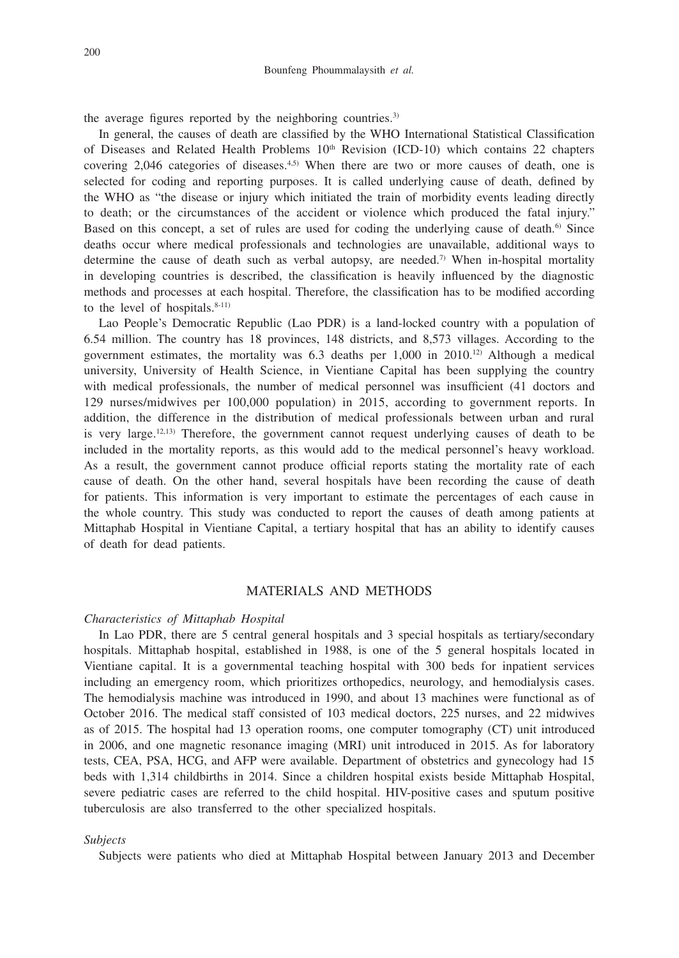the average figures reported by the neighboring countries.<sup>3)</sup>

In general, the causes of death are classified by the WHO International Statistical Classification of Diseases and Related Health Problems  $10<sup>th</sup>$  Revision (ICD-10) which contains 22 chapters covering  $2,046$  categories of diseases.<sup>4,5)</sup> When there are two or more causes of death, one is selected for coding and reporting purposes. It is called underlying cause of death, defined by the WHO as "the disease or injury which initiated the train of morbidity events leading directly to death; or the circumstances of the accident or violence which produced the fatal injury." Based on this concept, a set of rules are used for coding the underlying cause of death.<sup>6</sup> Since deaths occur where medical professionals and technologies are unavailable, additional ways to determine the cause of death such as verbal autopsy, are needed.<sup>7</sup> When in-hospital mortality in developing countries is described, the classification is heavily influenced by the diagnostic methods and processes at each hospital. Therefore, the classification has to be modified according to the level of hospitals.<sup>8-11)</sup>

Lao People's Democratic Republic (Lao PDR) is a land-locked country with a population of 6.54 million. The country has 18 provinces, 148 districts, and 8,573 villages. According to the government estimates, the mortality was  $6.3$  deaths per  $1,000$  in  $2010^{12}$  Although a medical university, University of Health Science, in Vientiane Capital has been supplying the country with medical professionals, the number of medical personnel was insufficient (41 doctors and 129 nurses/midwives per 100,000 population) in 2015, according to government reports. In addition, the difference in the distribution of medical professionals between urban and rural is very large.12,13) Therefore, the government cannot request underlying causes of death to be included in the mortality reports, as this would add to the medical personnel's heavy workload. As a result, the government cannot produce official reports stating the mortality rate of each cause of death. On the other hand, several hospitals have been recording the cause of death for patients. This information is very important to estimate the percentages of each cause in the whole country. This study was conducted to report the causes of death among patients at Mittaphab Hospital in Vientiane Capital, a tertiary hospital that has an ability to identify causes of death for dead patients.

## MATERIALS AND METHODS

## *Characteristics of Mittaphab Hospital*

In Lao PDR, there are 5 central general hospitals and 3 special hospitals as tertiary/secondary hospitals. Mittaphab hospital, established in 1988, is one of the 5 general hospitals located in Vientiane capital. It is a governmental teaching hospital with 300 beds for inpatient services including an emergency room, which prioritizes orthopedics, neurology, and hemodialysis cases. The hemodialysis machine was introduced in 1990, and about 13 machines were functional as of October 2016. The medical staff consisted of 103 medical doctors, 225 nurses, and 22 midwives as of 2015. The hospital had 13 operation rooms, one computer tomography (CT) unit introduced in 2006, and one magnetic resonance imaging (MRI) unit introduced in 2015. As for laboratory tests, CEA, PSA, HCG, and AFP were available. Department of obstetrics and gynecology had 15 beds with 1,314 childbirths in 2014. Since a children hospital exists beside Mittaphab Hospital, severe pediatric cases are referred to the child hospital. HIV-positive cases and sputum positive tuberculosis are also transferred to the other specialized hospitals.

#### *Subjects*

Subjects were patients who died at Mittaphab Hospital between January 2013 and December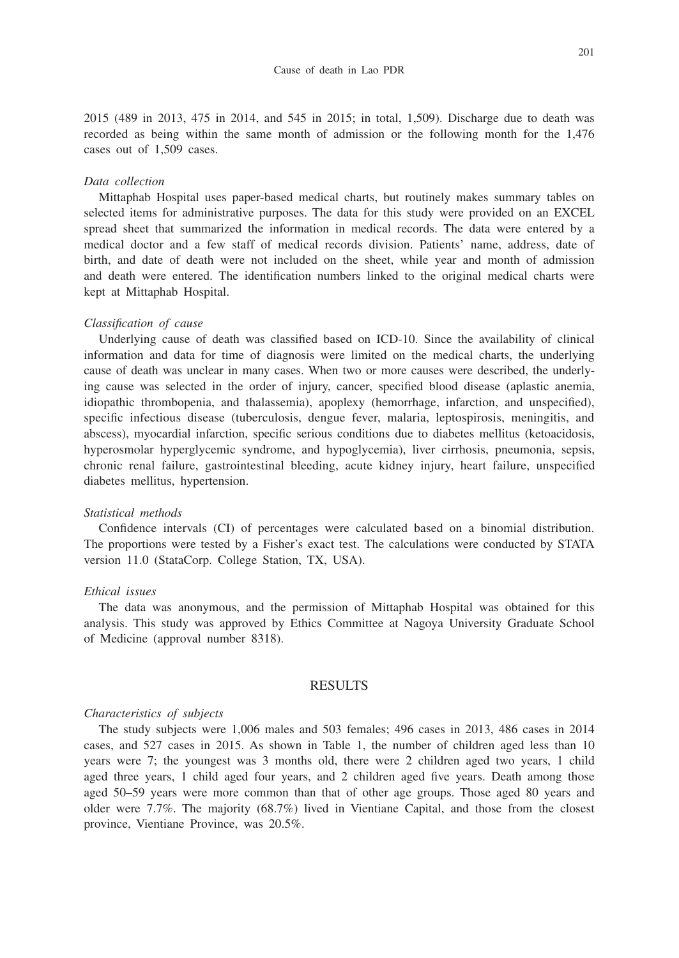2015 (489 in 2013, 475 in 2014, and 545 in 2015; in total, 1,509). Discharge due to death was recorded as being within the same month of admission or the following month for the 1,476 cases out of 1,509 cases.

### *Data collection*

Mittaphab Hospital uses paper-based medical charts, but routinely makes summary tables on selected items for administrative purposes. The data for this study were provided on an EXCEL spread sheet that summarized the information in medical records. The data were entered by a medical doctor and a few staff of medical records division. Patients' name, address, date of birth, and date of death were not included on the sheet, while year and month of admission and death were entered. The identification numbers linked to the original medical charts were kept at Mittaphab Hospital.

#### *Classification of cause*

Underlying cause of death was classified based on ICD-10. Since the availability of clinical information and data for time of diagnosis were limited on the medical charts, the underlying cause of death was unclear in many cases. When two or more causes were described, the underlying cause was selected in the order of injury, cancer, specified blood disease (aplastic anemia, idiopathic thrombopenia, and thalassemia), apoplexy (hemorrhage, infarction, and unspecified), specific infectious disease (tuberculosis, dengue fever, malaria, leptospirosis, meningitis, and abscess), myocardial infarction, specific serious conditions due to diabetes mellitus (ketoacidosis, hyperosmolar hyperglycemic syndrome, and hypoglycemia), liver cirrhosis, pneumonia, sepsis, chronic renal failure, gastrointestinal bleeding, acute kidney injury, heart failure, unspecified diabetes mellitus, hypertension.

## *Statistical methods*

Confidence intervals (CI) of percentages were calculated based on a binomial distribution. The proportions were tested by a Fisher's exact test. The calculations were conducted by STATA version 11.0 (StataCorp. College Station, TX, USA).

## *Ethical issues*

The data was anonymous, and the permission of Mittaphab Hospital was obtained for this analysis. This study was approved by Ethics Committee at Nagoya University Graduate School of Medicine (approval number 8318).

## RESULTS

#### *Characteristics of subjects*

The study subjects were 1,006 males and 503 females; 496 cases in 2013, 486 cases in 2014 cases, and 527 cases in 2015. As shown in Table 1, the number of children aged less than 10 years were 7; the youngest was 3 months old, there were 2 children aged two years, 1 child aged three years, 1 child aged four years, and 2 children aged five years. Death among those aged 50–59 years were more common than that of other age groups. Those aged 80 years and older were 7.7%. The majority (68.7%) lived in Vientiane Capital, and those from the closest province, Vientiane Province, was 20.5%.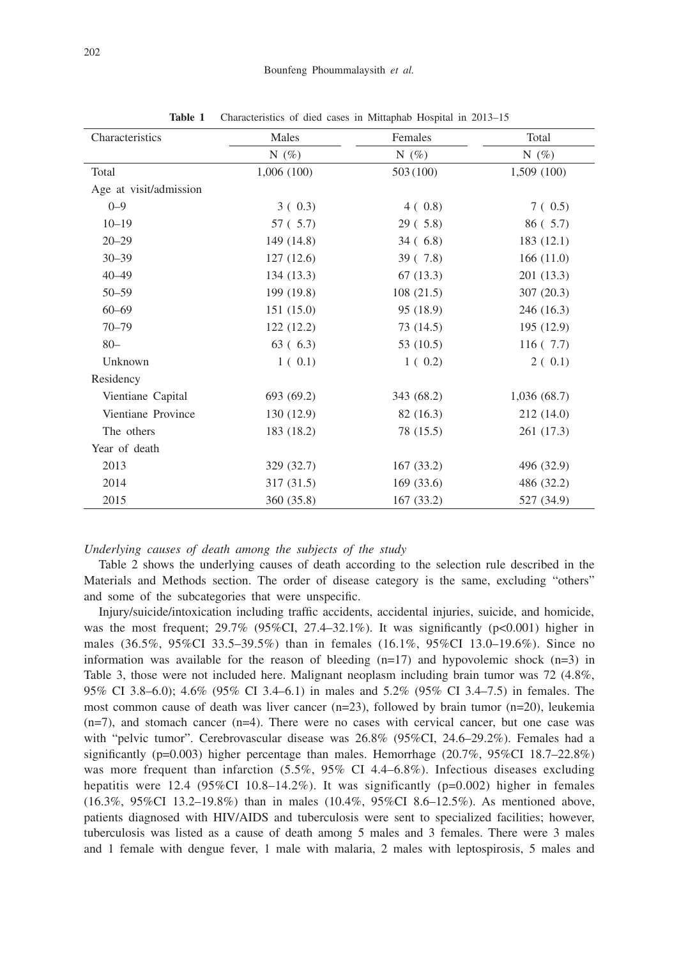| Characteristics        | Males      | Females    | Total<br>N $(\%)$ |  |
|------------------------|------------|------------|-------------------|--|
|                        | N $(\%)$   | N $(\%)$   |                   |  |
| Total                  | 1,006(100) | 503 (100)  | 1,509(100)        |  |
| Age at visit/admission |            |            |                   |  |
| $0 - 9$                | 3(0.3)     | 4(0.8)     | 7(0.5)            |  |
| $10 - 19$              | 57 ( 5.7)  | 29(.5.8)   | 86 ( 5.7)         |  |
| $20 - 29$              | 149 (14.8) | 34(6.8)    | 183 (12.1)        |  |
| $30 - 39$              | 127(12.6)  | 39(7.8)    | 166(11.0)         |  |
| $40 - 49$              | 134(13.3)  | 67(13.3)   | 201 (13.3)        |  |
| $50 - 59$              | 199 (19.8) | 108(21.5)  | 307(20.3)         |  |
| $60 - 69$              | 151(15.0)  | 95 (18.9)  | 246 (16.3)        |  |
| $70 - 79$              | 122(12.2)  | 73 (14.5)  | 195 (12.9)        |  |
| $80 -$                 | 63(6.3)    | 53 (10.5)  | 116(7.7)          |  |
| Unknown                | 1(0.1)     | 1(0.2)     | 2(0.1)            |  |
| Residency              |            |            |                   |  |
| Vientiane Capital      | 693 (69.2) | 343 (68.2) | 1,036(68.7)       |  |
| Vientiane Province     | 130 (12.9) | 82 (16.3)  | 212 (14.0)        |  |
| The others             | 183 (18.2) | 78 (15.5)  | 261 (17.3)        |  |
| Year of death          |            |            |                   |  |
| 2013                   | 329 (32.7) | 167(33.2)  | 496 (32.9)        |  |
| 2014                   | 317 (31.5) | 169(33.6)  | 486 (32.2)        |  |
| 2015                   | 360 (35.8) | 167(33.2)  | 527 (34.9)        |  |

**Table 1** Characteristics of died cases in Mittaphab Hospital in 2013–15

#### *Underlying causes of death among the subjects of the study*

Table 2 shows the underlying causes of death according to the selection rule described in the Materials and Methods section. The order of disease category is the same, excluding "others" and some of the subcategories that were unspecific.

Injury/suicide/intoxication including traffic accidents, accidental injuries, suicide, and homicide, was the most frequent;  $29.7\%$  (95%CI,  $27.4-32.1\%$ ). It was significantly (p<0.001) higher in males (36.5%, 95%CI 33.5–39.5%) than in females (16.1%, 95%CI 13.0–19.6%). Since no information was available for the reason of bleeding  $(n=17)$  and hypovolemic shock  $(n=3)$  in Table 3, those were not included here. Malignant neoplasm including brain tumor was 72 (4.8%, 95% CI 3.8–6.0); 4.6% (95% CI 3.4–6.1) in males and 5.2% (95% CI 3.4–7.5) in females. The most common cause of death was liver cancer  $(n=23)$ , followed by brain tumor  $(n=20)$ , leukemia  $(n=7)$ , and stomach cancer  $(n=4)$ . There were no cases with cervical cancer, but one case was with "pelvic tumor". Cerebrovascular disease was 26.8% (95%CI, 24.6–29.2%). Females had a significantly (p=0.003) higher percentage than males. Hemorrhage  $(20.7\%, 95\% \text{CI } 18.7-22.8\%)$ was more frequent than infarction  $(5.5\%, 95\% \text{ CI } 4.4-6.8\%).$  Infectious diseases excluding hepatitis were 12.4 (95%CI 10.8–14.2%). It was significantly ( $p=0.002$ ) higher in females (16.3%, 95%CI 13.2–19.8%) than in males (10.4%, 95%CI 8.6–12.5%). As mentioned above, patients diagnosed with HIV/AIDS and tuberculosis were sent to specialized facilities; however, tuberculosis was listed as a cause of death among 5 males and 3 females. There were 3 males and 1 female with dengue fever, 1 male with malaria, 2 males with leptospirosis, 5 males and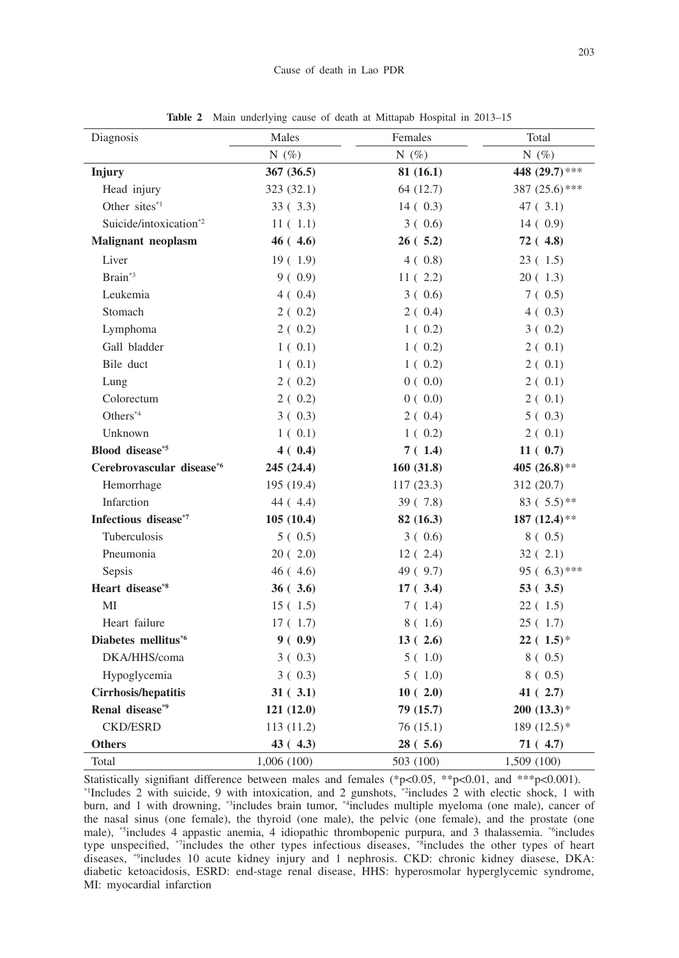| Diagnosis                          | Males      | Females   | Total           |  |
|------------------------------------|------------|-----------|-----------------|--|
|                                    | N $(\%)$   | N $(\%)$  | N $(\%)$        |  |
| Injury                             | 367 (36.5) | 81(16.1)  | 448 (29.7)***   |  |
| Head injury                        | 323 (32.1) | 64 (12.7) | $387(25.6)$ *** |  |
| Other sites*1                      | 33(3.3)    | 14(0.3)   | 47(3.1)         |  |
| Suicide/intoxication <sup>*2</sup> | 11(1.1)    | 3(0.6)    | 14(0.9)         |  |
| <b>Malignant</b> neoplasm          | $46(+4.6)$ | 26(.5.2)  | 72 (4.8)        |  |
| Liver                              | 19(1.9)    | 4(0.8)    | 23(1.5)         |  |
| Brain <sup>*3</sup>                | 9(0.9)     | 11(2.2)   | 20(1.3)         |  |
| Leukemia                           | 4(0.4)     | 3(0.6)    | 7(0.5)          |  |
| Stomach                            | 2(0.2)     | 2(0.4)    | 4(0.3)          |  |
| Lymphoma                           | 2(0.2)     | 1(0.2)    | 3(0.2)          |  |
| Gall bladder                       | 1(0.1)     | 1(0.2)    | 2(0.1)          |  |
| Bile duct                          | 1(0.1)     | 1(0.2)    | 2(0.1)          |  |
| Lung                               | 2(0.2)     | 0(0.0)    | 2(0.1)          |  |
| Colorectum                         | 2(0.2)     | 0(0.0)    | 2(0.1)          |  |
| Others*4                           | 3(0.3)     | 2(0.4)    | 5(0.3)          |  |
| Unknown                            | 1(0.1)     | 1(0.2)    | 2(0.1)          |  |
| Blood disease*5                    | 4(0.4)     | 7(1.4)    | 11(0.7)         |  |
| Cerebrovascular disease*6          | 245 (24.4) | 160(31.8) | 405 (26.8)**    |  |
| Hemorrhage                         | 195 (19.4) | 117(23.3) | 312 (20.7)      |  |
| Infarction                         | 44 (4.4)   | 39(7.8)   | 83 ( $5.5$ )**  |  |
| Infectious disease*7               | 105(10.4)  | 82(16.3)  | 187 $(12.4)$ ** |  |
| Tuberculosis                       | 5(0.5)     | 3(0.6)    | 8(0.5)          |  |
| Pneumonia                          | 20(2.0)    | 12(2.4)   | 32(2.1)         |  |
| Sepsis                             | 46(4.6)    | 49 (9.7)  | 95 $(6.3)$ ***  |  |
| Heart disease*8                    | 36(.3.6)   | 17(.3.4)  | 53(3.5)         |  |
| MI                                 | 15(1.5)    | 7 (1.4)   | 22(.1.5)        |  |
| Heart failure                      | 17(1.7)    | 8 ( 1.6)  | 25(1.7)         |  |
| Diabetes mellitus <sup>*6</sup>    | 9(0.9)     | 13(2.6)   | $22(.1.5)$ *    |  |
| DKA/HHS/coma                       | 3(0.3)     | 5(1.0)    | 8(0.5)          |  |
| Hypoglycemia                       | 3(0.3)     | 5(1.0)    | 8(0.5)          |  |
| Cirrhosis/hepatitis                | 31(.3.1)   | 10(2.0)   | 41(2.7)         |  |
| Renal disease*9                    | 121(12.0)  | 79 (15.7) | $200(13.3)*$    |  |
| <b>CKD/ESRD</b>                    | 113(11.2)  | 76(15.1)  | 189 $(12.5)$ *  |  |
| <b>Others</b>                      | 43(4.3)    | 28(.5.6)  | 71(4.7)         |  |
| Total                              | 1,006(100) | 503 (100) | 1,509 (100)     |  |

**Table 2** Main underlying cause of death at Mittapab Hospital in 2013–15

Statistically signifiant difference between males and females (\*p<0.05, \*\*p<0.01, and \*\*\*p<0.001). \*1Includes 2 with suicide, 9 with intoxication, and 2 gunshots, \*2includes 2 with electic shock, 1 with burn, and 1 with drowning, \*3includes brain tumor, \*4includes multiple myeloma (one male), cancer of the nasal sinus (one female), the thyroid (one male), the pelvic (one female), and the prostate (one male), \*5includes 4 appastic anemia, 4 idiopathic thrombopenic purpura, and 3 thalassemia. \*6includes type unspecified, \*7includes the other types infectious diseases, \*8includes the other types of heart diseases, \*9includes 10 acute kidney injury and 1 nephrosis. CKD: chronic kidney diasese, DKA: diabetic ketoacidosis, ESRD: end-stage renal disease, HHS: hyperosmolar hyperglycemic syndrome, MI: myocardial infarction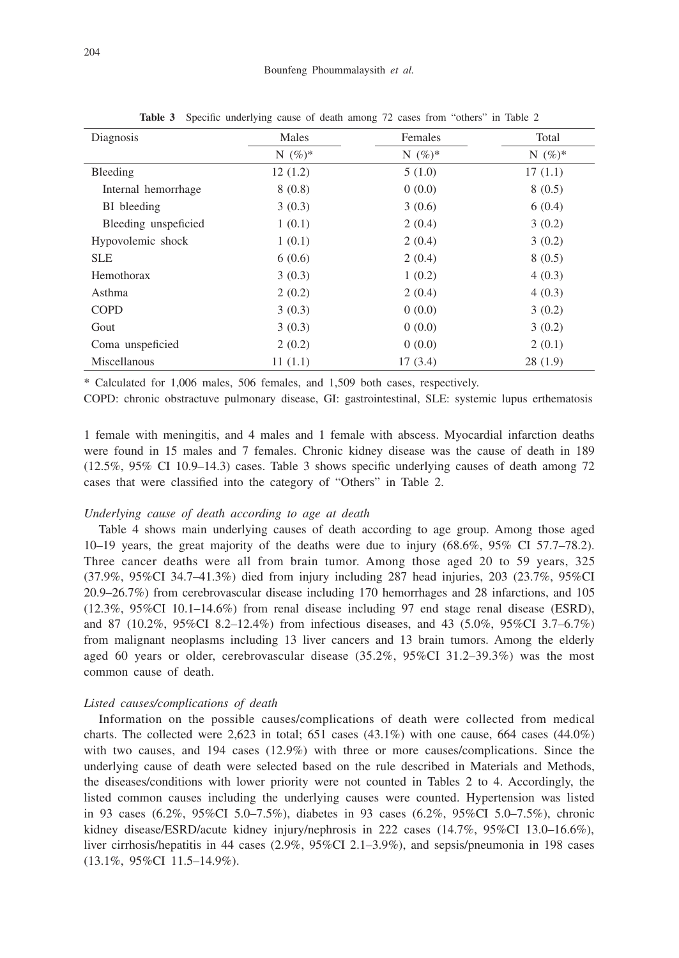| Diagnosis            | Males      | Females    | Total      |  |
|----------------------|------------|------------|------------|--|
|                      | N $(\%)^*$ | N $(\%)^*$ | N $(\%)^*$ |  |
| Bleeding             | 12(1.2)    | 5(1.0)     | 17(1.1)    |  |
| Internal hemorrhage  | 8(0.8)     | 0(0.0)     | 8(0.5)     |  |
| BI bleeding          | 3(0.3)     | 3(0.6)     | 6(0.4)     |  |
| Bleeding unspericied | 1(0.1)     | 2(0.4)     | 3(0.2)     |  |
| Hypovolemic shock    | 1(0.1)     | 2(0.4)     | 3(0.2)     |  |
| <b>SLE</b>           | 6(0.6)     | 2(0.4)     | 8(0.5)     |  |
| Hemothorax           | 3(0.3)     | 1(0.2)     | 4(0.3)     |  |
| Asthma               | 2(0.2)     | 2(0.4)     | 4(0.3)     |  |
| <b>COPD</b>          | 3(0.3)     | 0(0.0)     | 3(0.2)     |  |
| Gout                 | 3(0.3)     | 0(0.0)     | 3(0.2)     |  |
| Coma unspeficied     | 2(0.2)     | 0(0.0)     | 2(0.1)     |  |
| Miscellanous         | 11(1.1)    | 17(3.4)    | 28(1.9)    |  |

**Table 3** Specific underlying cause of death among 72 cases from "others" in Table 2

\* Calculated for 1,006 males, 506 females, and 1,509 both cases, respectively.

COPD: chronic obstractuve pulmonary disease, GI: gastrointestinal, SLE: systemic lupus erthematosis

1 female with meningitis, and 4 males and 1 female with abscess. Myocardial infarction deaths were found in 15 males and 7 females. Chronic kidney disease was the cause of death in 189 (12.5%, 95% CI 10.9–14.3) cases. Table 3 shows specific underlying causes of death among 72 cases that were classified into the category of "Others" in Table 2.

# *Underlying cause of death according to age at death*

Table 4 shows main underlying causes of death according to age group. Among those aged 10–19 years, the great majority of the deaths were due to injury (68.6%, 95% CI 57.7–78.2). Three cancer deaths were all from brain tumor. Among those aged 20 to 59 years, 325 (37.9%, 95%CI 34.7–41.3%) died from injury including 287 head injuries, 203 (23.7%, 95%CI 20.9–26.7%) from cerebrovascular disease including 170 hemorrhages and 28 infarctions, and 105 (12.3%, 95%CI 10.1–14.6%) from renal disease including 97 end stage renal disease (ESRD), and 87 (10.2%, 95%CI 8.2–12.4%) from infectious diseases, and 43 (5.0%, 95%CI 3.7–6.7%) from malignant neoplasms including 13 liver cancers and 13 brain tumors. Among the elderly aged 60 years or older, cerebrovascular disease (35.2%, 95%CI 31.2–39.3%) was the most common cause of death.

# *Listed causes/complications of death*

Information on the possible causes/complications of death were collected from medical charts. The collected were 2,623 in total; 651 cases (43.1%) with one cause, 664 cases (44.0%) with two causes, and 194 cases (12.9%) with three or more causes/complications. Since the underlying cause of death were selected based on the rule described in Materials and Methods, the diseases/conditions with lower priority were not counted in Tables 2 to 4. Accordingly, the listed common causes including the underlying causes were counted. Hypertension was listed in 93 cases (6.2%, 95%CI 5.0–7.5%), diabetes in 93 cases (6.2%, 95%CI 5.0–7.5%), chronic kidney disease/ESRD/acute kidney injury/nephrosis in 222 cases (14.7%, 95%CI 13.0–16.6%), liver cirrhosis/hepatitis in 44 cases (2.9%, 95%CI 2.1–3.9%), and sepsis/pneumonia in 198 cases (13.1%, 95%CI 11.5–14.9%).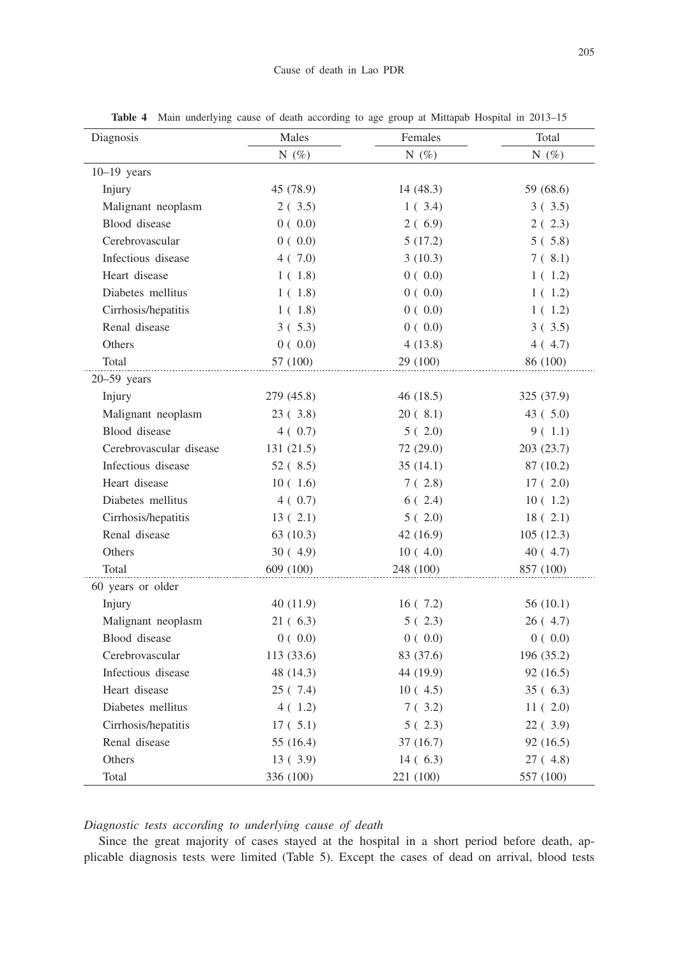| Diagnosis               | Males      | Females   | Total<br>N $(\%)$ |  |
|-------------------------|------------|-----------|-------------------|--|
|                         | N $(\%)$   | N $(\%)$  |                   |  |
| $10-19$ years           |            |           |                   |  |
| Injury                  | 45 (78.9)  | 14(48.3)  | 59 (68.6)         |  |
| Malignant neoplasm      | 2(3.5)     | 1(3.4)    | 3(3.5)            |  |
| Blood disease           | 0(0.0)     | 2(6.9)    | 2(2.3)            |  |
| Cerebrovascular         | 0(0.0)     | 5(17.2)   | 5(5.8)            |  |
| Infectious disease      | 4(7.0)     | 3(10.3)   | 7(.8.1)           |  |
| Heart disease           | 1(1.8)     | 0(0.0)    | 1(1.2)            |  |
| Diabetes mellitus       | 1(1.8)     | 0(0.0)    | 1(1.2)            |  |
| Cirrhosis/hepatitis     | 1(1.8)     | 0(0.0)    | 1(1.2)            |  |
| Renal disease           | 3(5.3)     | 0(0.0)    | 3(3.5)            |  |
| Others                  | 0(0.0)     | 4(13.8)   | 4(4.7)            |  |
| Total                   | 57 (100)   | 29 (100)  | 86 (100)          |  |
| $20 - 59$ years         |            |           |                   |  |
| Injury                  | 279 (45.8) | 46 (18.5) | 325 (37.9)        |  |
| Malignant neoplasm      | 23(3.8)    | 20(.8.1)  | 43(5.0)           |  |
| Blood disease           | 4(0.7)     | 5(2.0)    | 9(1.1)            |  |
| Cerebrovascular disease | 131(21.5)  | 72 (29.0) | 203 (23.7)        |  |
| Infectious disease      | 52(.8.5)   | 35 (14.1) | 87 (10.2)         |  |
| Heart disease           | 10(1.6)    | 7(2.8)    | 17(2.0)           |  |
| Diabetes mellitus       | 4(0.7)     | 6(2.4)    | 10(1.2)           |  |
| Cirrhosis/hepatitis     | 13(2.1)    | 5(2.0)    | 18(2.1)           |  |
| Renal disease           | 63(10.3)   | 42 (16.9) | 105(12.3)         |  |
| Others                  | 30(4.9)    | 10(4.0)   | 40 (4.7)          |  |
| Total                   | 609 (100)  | 248 (100) | 857 (100)         |  |
| 60 years or older       |            |           |                   |  |
| Injury                  | 40(11.9)   | 16(7.2)   | 56(10.1)          |  |
| Malignant neoplasm      | 21 ( 6.3)  | 5(2.3)    | 26(4.7)           |  |
| Blood disease           | 0(0.0)     | 0(0.0)    | 0(0.0)            |  |
| Cerebrovascular         | 113(33.6)  | 83 (37.6) | 196(35.2)         |  |
| Infectious disease      | 48 (14.3)  | 44 (19.9) | 92 (16.5)         |  |
| Heart disease           | 25 ( 7.4)  | 10(4.5)   | 35(6.3)           |  |
| Diabetes mellitus       | 4(1.2)     | 7(3.2)    | 11(2.0)           |  |
| Cirrhosis/hepatitis     | 17(5.1)    | 5(2.3)    | 22(.3.9)          |  |
| Renal disease           | 55 (16.4)  | 37(16.7)  | 92 (16.5)         |  |
| Others                  | 13(3.9)    | 14(6.3)   | 27 (4.8)          |  |
| Total                   | 336 (100)  | 221 (100) | 557 (100)         |  |

**Table 4** Main underlying cause of death according to age group at Mittapab Hospital in 2013–15

# *Diagnostic tests according to underlying cause of death*

Since the great majority of cases stayed at the hospital in a short period before death, applicable diagnosis tests were limited (Table 5). Except the cases of dead on arrival, blood tests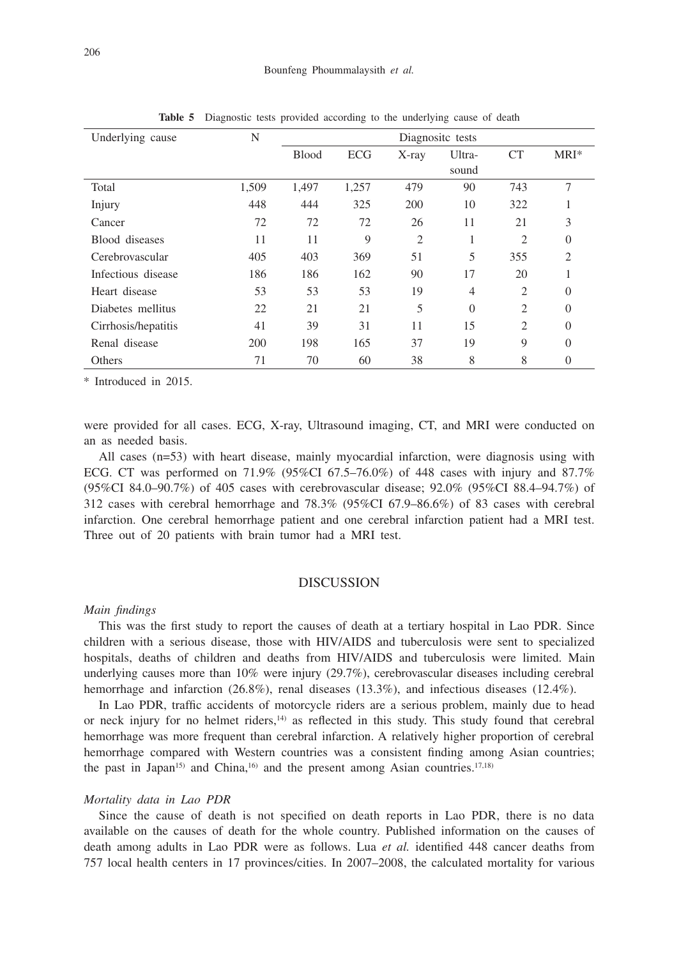| Underlying cause    | N     | Diagnosite tests |       |          |                |                |         |
|---------------------|-------|------------------|-------|----------|----------------|----------------|---------|
|                     |       | <b>Blood</b>     | ECG   | $X$ -ray | Ultra-         | <b>CT</b>      | $MRI^*$ |
|                     |       |                  |       |          | sound          |                |         |
| Total               | 1,509 | 1,497            | 1,257 | 479      | 90             | 743            | 7       |
| Injury              | 448   | 444              | 325   | 200      | 10             | 322            |         |
| Cancer              | 72    | 72               | 72    | 26       | 11             | 21             | 3       |
| Blood diseases      | 11    | 11               | 9     | 2        |                | $\overline{c}$ | 0       |
| Cerebrovascular     | 405   | 403              | 369   | 51       | 5              | 355            | 2       |
| Infectious disease  | 186   | 186              | 162   | 90       | 17             | 20             |         |
| Heart disease       | 53    | 53               | 53    | 19       | $\overline{4}$ | $\overline{c}$ | 0       |
| Diabetes mellitus   | 22    | 21               | 21    | 5        | $\Omega$       | $\overline{c}$ | 0       |
| Cirrhosis/hepatitis | 41    | 39               | 31    | 11       | 15             | $\overline{2}$ | 0       |
| Renal disease       | 200   | 198              | 165   | 37       | 19             | 9              | 0       |
| Others              | 71    | 70               | 60    | 38       | 8              | 8              | 0       |

**Table 5** Diagnostic tests provided according to the underlying cause of death

\* Introduced in 2015.

were provided for all cases. ECG, X-ray, Ultrasound imaging, CT, and MRI were conducted on an as needed basis.

All cases (n=53) with heart disease, mainly myocardial infarction, were diagnosis using with ECG. CT was performed on  $71.9\%$  (95%CI 67.5–76.0%) of 448 cases with injury and  $87.7\%$ (95%CI 84.0–90.7%) of 405 cases with cerebrovascular disease; 92.0% (95%CI 88.4–94.7%) of 312 cases with cerebral hemorrhage and 78.3% (95%CI 67.9–86.6%) of 83 cases with cerebral infarction. One cerebral hemorrhage patient and one cerebral infarction patient had a MRI test. Three out of 20 patients with brain tumor had a MRI test.

# DISCUSSION

#### *Main findings*

This was the first study to report the causes of death at a tertiary hospital in Lao PDR. Since children with a serious disease, those with HIV/AIDS and tuberculosis were sent to specialized hospitals, deaths of children and deaths from HIV/AIDS and tuberculosis were limited. Main underlying causes more than 10% were injury (29.7%), cerebrovascular diseases including cerebral hemorrhage and infarction (26.8%), renal diseases (13.3%), and infectious diseases (12.4%).

In Lao PDR, traffic accidents of motorcycle riders are a serious problem, mainly due to head or neck injury for no helmet riders,<sup>14)</sup> as reflected in this study. This study found that cerebral hemorrhage was more frequent than cerebral infarction. A relatively higher proportion of cerebral hemorrhage compared with Western countries was a consistent finding among Asian countries; the past in Japan<sup>15)</sup> and China,<sup>16)</sup> and the present among Asian countries.<sup>17,18)</sup>

# *Mortality data in Lao PDR*

Since the cause of death is not specified on death reports in Lao PDR, there is no data available on the causes of death for the whole country. Published information on the causes of death among adults in Lao PDR were as follows. Lua *et al.* identified 448 cancer deaths from 757 local health centers in 17 provinces/cities. In 2007–2008, the calculated mortality for various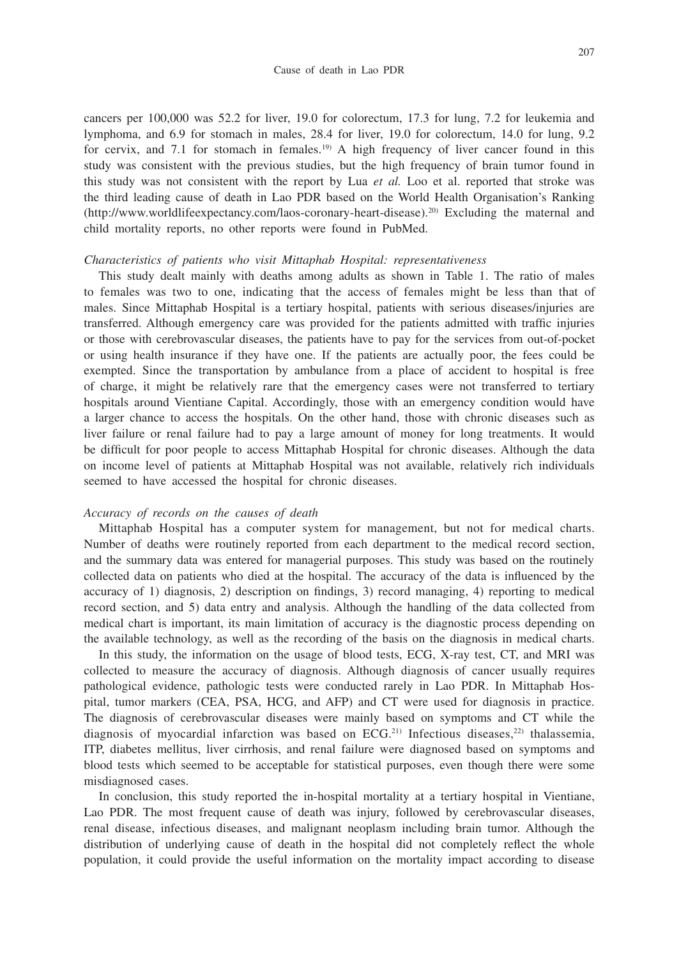cancers per 100,000 was 52.2 for liver, 19.0 for colorectum, 17.3 for lung, 7.2 for leukemia and lymphoma, and 6.9 for stomach in males, 28.4 for liver, 19.0 for colorectum, 14.0 for lung, 9.2 for cervix, and 7.1 for stomach in females.<sup>19)</sup> A high frequency of liver cancer found in this study was consistent with the previous studies, but the high frequency of brain tumor found in this study was not consistent with the report by Lua *et al.* Loo et al. reported that stroke was the third leading cause of death in Lao PDR based on the World Health Organisation's Ranking (http://www.worldlifeexpectancy.com/laos-coronary-heart-disease).20) Excluding the maternal and child mortality reports, no other reports were found in PubMed.

#### *Characteristics of patients who visit Mittaphab Hospital: representativeness*

This study dealt mainly with deaths among adults as shown in Table 1. The ratio of males to females was two to one, indicating that the access of females might be less than that of males. Since Mittaphab Hospital is a tertiary hospital, patients with serious diseases/injuries are transferred. Although emergency care was provided for the patients admitted with traffic injuries or those with cerebrovascular diseases, the patients have to pay for the services from out-of-pocket or using health insurance if they have one. If the patients are actually poor, the fees could be exempted. Since the transportation by ambulance from a place of accident to hospital is free of charge, it might be relatively rare that the emergency cases were not transferred to tertiary hospitals around Vientiane Capital. Accordingly, those with an emergency condition would have a larger chance to access the hospitals. On the other hand, those with chronic diseases such as liver failure or renal failure had to pay a large amount of money for long treatments. It would be difficult for poor people to access Mittaphab Hospital for chronic diseases. Although the data on income level of patients at Mittaphab Hospital was not available, relatively rich individuals seemed to have accessed the hospital for chronic diseases.

## *Accuracy of records on the causes of death*

Mittaphab Hospital has a computer system for management, but not for medical charts. Number of deaths were routinely reported from each department to the medical record section, and the summary data was entered for managerial purposes. This study was based on the routinely collected data on patients who died at the hospital. The accuracy of the data is influenced by the accuracy of 1) diagnosis, 2) description on findings, 3) record managing, 4) reporting to medical record section, and 5) data entry and analysis. Although the handling of the data collected from medical chart is important, its main limitation of accuracy is the diagnostic process depending on the available technology, as well as the recording of the basis on the diagnosis in medical charts.

In this study, the information on the usage of blood tests, ECG, X-ray test, CT, and MRI was collected to measure the accuracy of diagnosis. Although diagnosis of cancer usually requires pathological evidence, pathologic tests were conducted rarely in Lao PDR. In Mittaphab Hospital, tumor markers (CEA, PSA, HCG, and AFP) and CT were used for diagnosis in practice. The diagnosis of cerebrovascular diseases were mainly based on symptoms and CT while the diagnosis of myocardial infarction was based on  $ECG<sup>(21)</sup>$  Infectious diseases,<sup>22)</sup> thalassemia, ITP, diabetes mellitus, liver cirrhosis, and renal failure were diagnosed based on symptoms and blood tests which seemed to be acceptable for statistical purposes, even though there were some misdiagnosed cases.

In conclusion, this study reported the in-hospital mortality at a tertiary hospital in Vientiane, Lao PDR. The most frequent cause of death was injury, followed by cerebrovascular diseases, renal disease, infectious diseases, and malignant neoplasm including brain tumor. Although the distribution of underlying cause of death in the hospital did not completely reflect the whole population, it could provide the useful information on the mortality impact according to disease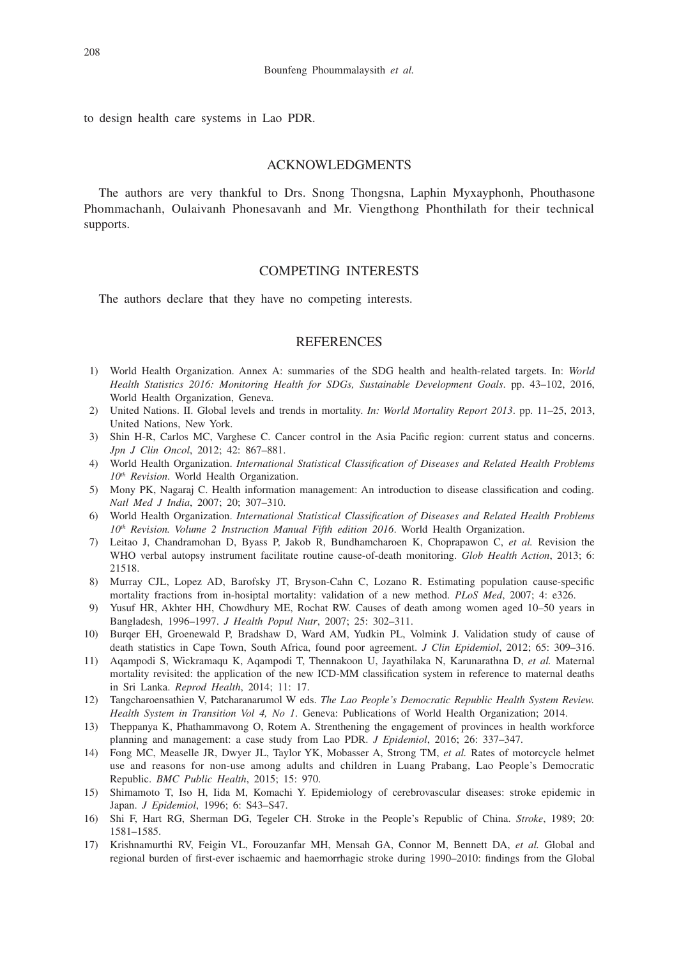to design health care systems in Lao PDR.

## ACKNOWLEDGMENTS

The authors are very thankful to Drs. Snong Thongsna, Laphin Myxayphonh, Phouthasone Phommachanh, Oulaivanh Phonesavanh and Mr. Viengthong Phonthilath for their technical supports.

# COMPETING INTERESTS

The authors declare that they have no competing interests.

## **REFERENCES**

- 1) World Health Organization. Annex A: summaries of the SDG health and health-related targets. In: *World Health Statistics 2016: Monitoring Health for SDGs, Sustainable Development Goals*. pp. 43–102, 2016, World Health Organization, Geneva.
- 2) United Nations. II. Global levels and trends in mortality. *In: World Mortality Report 2013*. pp. 11–25, 2013, United Nations, New York.
- 3) Shin H-R, Carlos MC, Varghese C. Cancer control in the Asia Pacific region: current status and concerns. *Jpn J Clin Oncol*, 2012; 42: 867–881.
- 4) World Health Organization. *International Statistical Classification of Diseases and Related Health Problems 10th Revision*. World Health Organization.
- 5) Mony PK, Nagaraj C. Health information management: An introduction to disease classification and coding. *Natl Med J India*, 2007; 20; 307–310.
- 6) World Health Organization. *International Statistical Classification of Diseases and Related Health Problems 10th Revision. Volume 2 Instruction Manual Fifth edition 2016*. World Health Organization.
- 7) Leitao J, Chandramohan D, Byass P, Jakob R, Bundhamcharoen K, Choprapawon C, *et al.* Revision the WHO verbal autopsy instrument facilitate routine cause-of-death monitoring. *Glob Health Action*, 2013; 6: 21518.
- 8) Murray CJL, Lopez AD, Barofsky JT, Bryson-Cahn C, Lozano R. Estimating population cause-specific mortality fractions from in-hosiptal mortality: validation of a new method. *PLoS Med*, 2007; 4: e326.
- 9) Yusuf HR, Akhter HH, Chowdhury ME, Rochat RW. Causes of death among women aged 10–50 years in Bangladesh, 1996–1997. *J Health Popul Nutr*, 2007; 25: 302–311.
- 10) Burqer EH, Groenewald P, Bradshaw D, Ward AM, Yudkin PL, Volmink J. Validation study of cause of death statistics in Cape Town, South Africa, found poor agreement. *J Clin Epidemiol*, 2012; 65: 309–316.
- 11) Aqampodi S, Wickramaqu K, Aqampodi T, Thennakoon U, Jayathilaka N, Karunarathna D, *et al.* Maternal mortality revisited: the application of the new ICD-MM classification system in reference to maternal deaths in Sri Lanka. *Reprod Health*, 2014; 11: 17.
- 12) Tangcharoensathien V, Patcharanarumol W eds. *The Lao People's Democratic Republic Health System Review. Health System in Transition Vol 4, No 1*. Geneva: Publications of World Health Organization; 2014.
- 13) Theppanya K, Phathammavong O, Rotem A. Strenthening the engagement of provinces in health workforce planning and management: a case study from Lao PDR. *J Epidemiol*, 2016; 26: 337–347.
- 14) Fong MC, Measelle JR, Dwyer JL, Taylor YK, Mobasser A, Strong TM, *et al.* Rates of motorcycle helmet use and reasons for non-use among adults and children in Luang Prabang, Lao People's Democratic Republic. *BMC Public Health*, 2015; 15: 970.
- 15) Shimamoto T, Iso H, Iida M, Komachi Y. Epidemiology of cerebrovascular diseases: stroke epidemic in Japan. *J Epidemiol*, 1996; 6: S43–S47.
- 16) Shi F, Hart RG, Sherman DG, Tegeler CH. Stroke in the People's Republic of China. *Stroke*, 1989; 20: 1581–1585.
- 17) Krishnamurthi RV, Feigin VL, Forouzanfar MH, Mensah GA, Connor M, Bennett DA, *et al.* Global and regional burden of first-ever ischaemic and haemorrhagic stroke during 1990–2010: findings from the Global